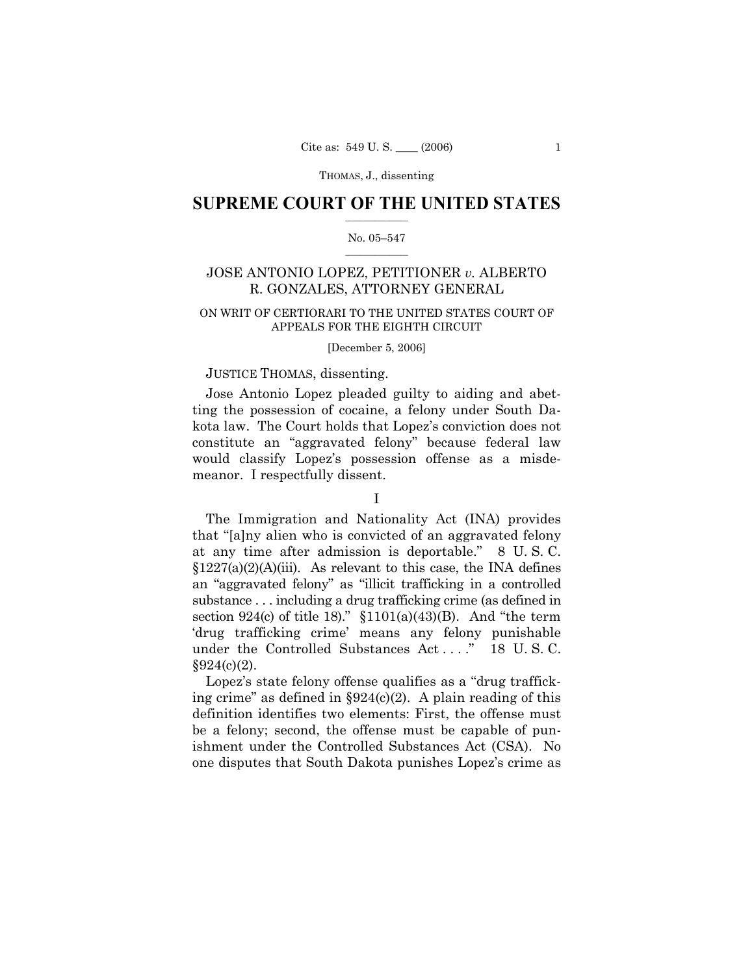### **SUPREME COURT OF THE UNITED STATES**  $\frac{1}{2}$  ,  $\frac{1}{2}$  ,  $\frac{1}{2}$  ,  $\frac{1}{2}$  ,  $\frac{1}{2}$  ,  $\frac{1}{2}$  ,  $\frac{1}{2}$

#### No. 05-547  $\mathcal{L}=\mathcal{L}$

# JOSE ANTONIO LOPEZ, PETITIONER *v.* ALBERTO R. GONZALES, ATTORNEY GENERAL

## ON WRIT OF CERTIORARI TO THE UNITED STATES COURT OF APPEALS FOR THE EIGHTH CIRCUIT

#### [December 5, 2006]

## JUSTICE THOMAS, dissenting.

 Jose Antonio Lopez pleaded guilty to aiding and abetting the possession of cocaine, a felony under South Dakota law. The Court holds that Lopezís conviction does not constitute an "aggravated felony" because federal law would classify Lopezís possession offense as a misdemeanor. I respectfully dissent.

## I

 The Immigration and Nationality Act (INA) provides that "[a]ny alien who is convicted of an aggravated felony at any time after admission is deportable." 8 U.S.C.  $$1227(a)(2)(A)(iii)$ . As relevant to this case, the INA defines an "aggravated felony" as "illicit trafficking in a controlled substance . . . including a drug trafficking crime (as defined in section  $924(c)$  of title 18)." §1101(a)(43)(B). And "the term ëdrug trafficking crimeí means any felony punishable under the Controlled Substances Act . . . . <sup>n</sup> 18 U.S.C.  $§924(c)(2)$ .

Lopez's state felony offense qualifies as a "drug trafficking crime" as defined in  $\S 924(c)(2)$ . A plain reading of this definition identifies two elements: First, the offense must be a felony; second, the offense must be capable of punishment under the Controlled Substances Act (CSA). No one disputes that South Dakota punishes Lopezís crime as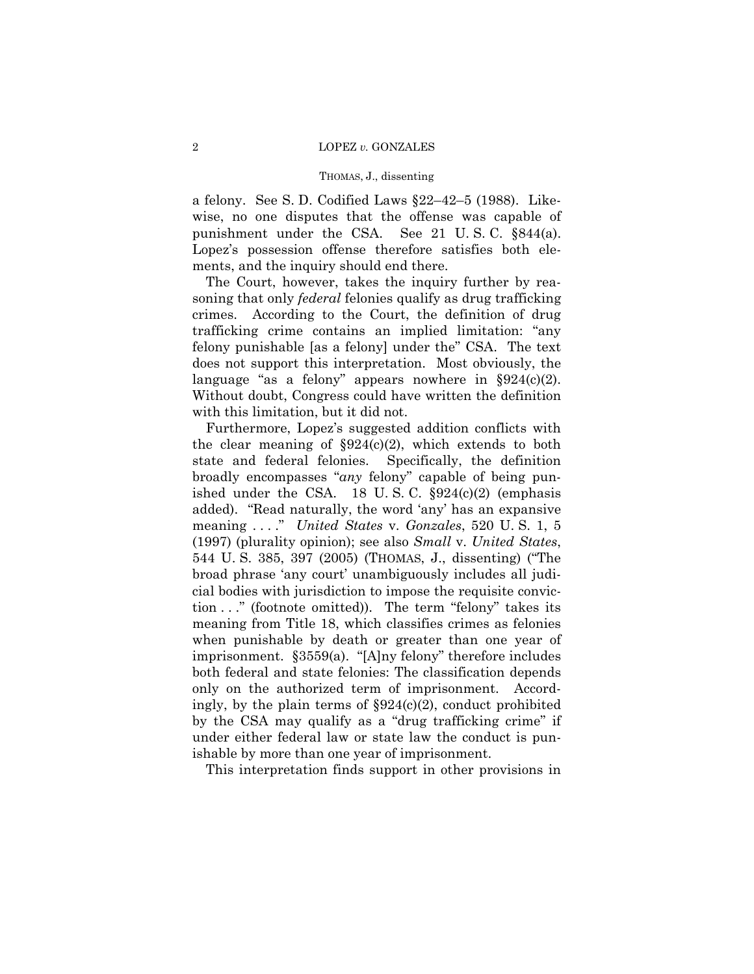a felony. See S. D. Codified Laws  $\S22-42-5$  (1988). Likewise, no one disputes that the offense was capable of punishment under the CSA. See 21 U. S. C. ß844(a). Lopez's possession offense therefore satisfies both elements, and the inquiry should end there.

 The Court, however, takes the inquiry further by reasoning that only *federal* felonies qualify as drug trafficking crimes. According to the Court, the definition of drug trafficking crime contains an implied limitation: "any felony punishable [as a felony] under the <sup>o</sup>CSA. The text does not support this interpretation. Most obviously, the language "as a felony" appears nowhere in  $\S 924(c)(2)$ . Without doubt, Congress could have written the definition with this limitation, but it did not.

 Furthermore, Lopezís suggested addition conflicts with the clear meaning of  $\S 924(c)(2)$ , which extends to both state and federal felonies. Specifically, the definition broadly encompasses "*any* felony" capable of being punished under the CSA. 18 U.S.C.  $\S 924(c)(2)$  (emphasis added). "Read naturally, the word 'any' has an expansive meaning . . . .î *United States* v. *Gonzales*, 520 U. S. 1, 5 (1997) (plurality opinion); see also *Small* v. *United States*, 544 U.S. 385, 397 (2005) (THOMAS, J., dissenting) ("The broad phrase 'any court' unambiguously includes all judicial bodies with jurisdiction to impose the requisite conviction  $\ldots$  (footnote omitted)). The term "felony" takes its meaning from Title 18, which classifies crimes as felonies when punishable by death or greater than one year of imprisonment.  $§3559(a)$ . "[A]ny felony" therefore includes both federal and state felonies: The classification depends only on the authorized term of imprisonment. Accordingly, by the plain terms of  $\S 924(c)(2)$ , conduct prohibited by the CSA may qualify as a "drug trafficking crime" if under either federal law or state law the conduct is punishable by more than one year of imprisonment.

This interpretation finds support in other provisions in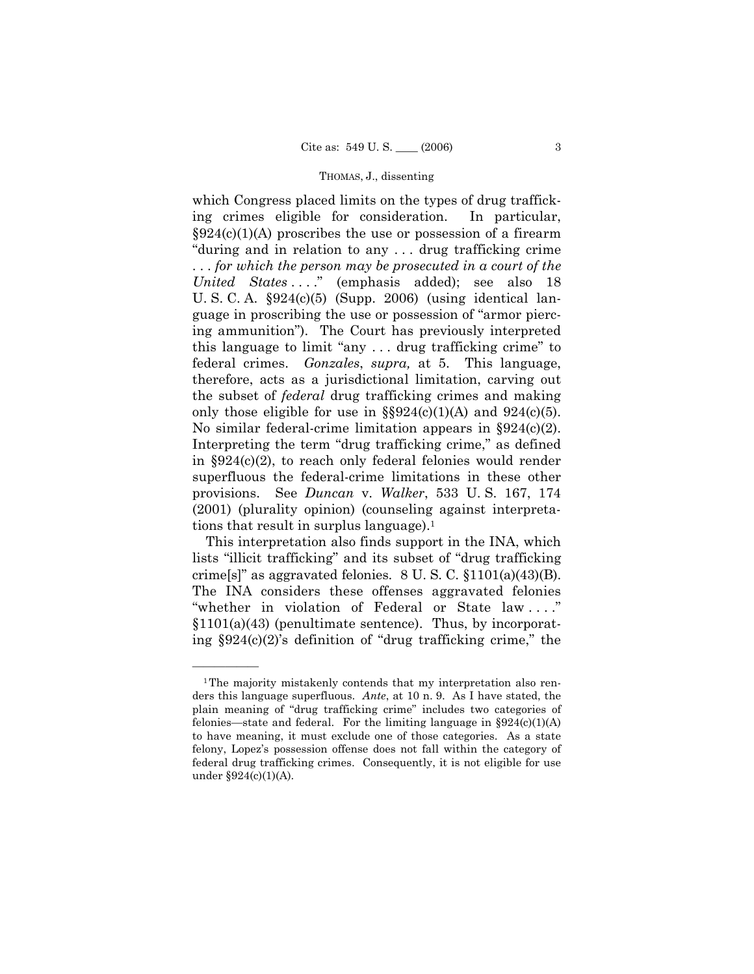which Congress placed limits on the types of drug trafficking crimes eligible for consideration. In particular,  $\S 924(c)(1)$  proscribes the use or possession of a firearm "during and in relation to any ... drug trafficking crime . . . *for which the person may be prosecuted in a court of the United States* . . . .î (emphasis added); see also 18 U. S. C. A. ß924(c)(5) (Supp. 2006) (using identical language in proscribing the use or possession of "armor piercing ammunitionî). The Court has previously interpreted this language to limit "any  $\dots$  drug trafficking crime" to federal crimes. *Gonzales*, *supra,* at 5. This language, therefore, acts as a jurisdictional limitation, carving out the subset of *federal* drug trafficking crimes and making only those eligible for use in  $\S$ §924(c)(1)(A) and 924(c)(5). No similar federal-crime limitation appears in  $\S 924(c)(2)$ . Interpreting the term "drug trafficking crime," as defined in  $\S 924(c)(2)$ , to reach only federal felonies would render superfluous the federal-crime limitations in these other provisions. See *Duncan* v. *Walker*, 533 U. S. 167, 174 (2001) (plurality opinion) (counseling against interpretations that result in surplus language).<sup>1</sup>

 This interpretation also finds support in the INA, which lists "illicit trafficking" and its subset of "drug trafficking" crime[s]" as aggravated felonies.  $8 \text{ U.S. C. } \S1101(a)(43)(B)$ . The INA considers these offenses aggravated felonies "whether in violation of Federal or State law ...."  $$1101(a)(43)$  (penultimate sentence). Thus, by incorporating  $\S 924(c)(2)$ 's definition of "drug trafficking crime," the

<sup>&</sup>lt;sup>1</sup>The majority mistakenly contends that my interpretation also renders this language superfluous. *Ante*, at 10 n. 9. As I have stated, the plain meaning of "drug trafficking crime" includes two categories of felonies—state and federal. For the limiting language in  $\S 924(c)(1)(A)$ to have meaning, it must exclude one of those categories. As a state felony, Lopezís possession offense does not fall within the category of federal drug trafficking crimes. Consequently, it is not eligible for use under ß924(c)(1)(A).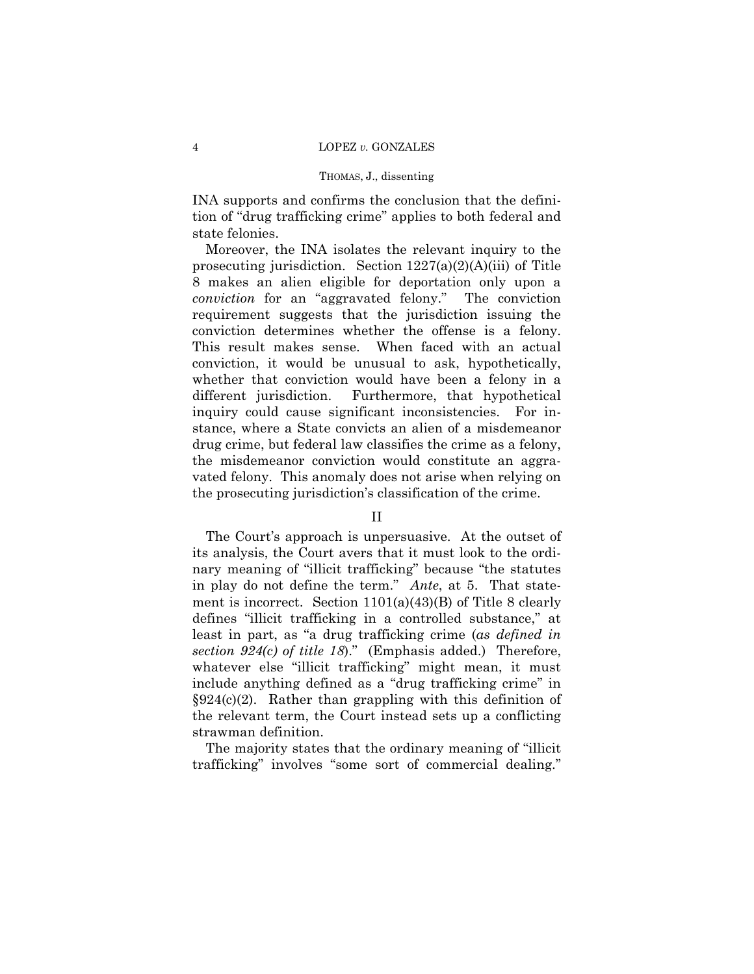INA supports and confirms the conclusion that the definition of "drug trafficking crime" applies to both federal and state felonies.

 Moreover, the INA isolates the relevant inquiry to the prosecuting jurisdiction. Section  $1227(a)(2)(A)(iii)$  of Title 8 makes an alien eligible for deportation only upon a *conviction* for an "aggravated felony." The conviction requirement suggests that the jurisdiction issuing the conviction determines whether the offense is a felony. This result makes sense. When faced with an actual conviction, it would be unusual to ask, hypothetically, whether that conviction would have been a felony in a different jurisdiction. Furthermore, that hypothetical inquiry could cause significant inconsistencies. For instance, where a State convicts an alien of a misdemeanor drug crime, but federal law classifies the crime as a felony, the misdemeanor conviction would constitute an aggravated felony. This anomaly does not arise when relying on the prosecuting jurisdictionís classification of the crime.

## II

The Court's approach is unpersuasive. At the outset of its analysis, the Court avers that it must look to the ordinary meaning of "illicit trafficking" because "the statutes in play do not define the term.î *Ante*, at 5. That statement is incorrect. Section 1101(a)(43)(B) of Title 8 clearly defines "illicit trafficking in a controlled substance," at least in part, as "a drug trafficking crime (*as defined in section 924(c) of title 18*).<sup>*n*</sup> (Emphasis added.) Therefore, whatever else "illicit trafficking" might mean, it must include anything defined as a "drug trafficking crime" in  $\S 924(c)(2)$ . Rather than grappling with this definition of the relevant term, the Court instead sets up a conflicting strawman definition.

The majority states that the ordinary meaning of "illicit" trafficking" involves "some sort of commercial dealing."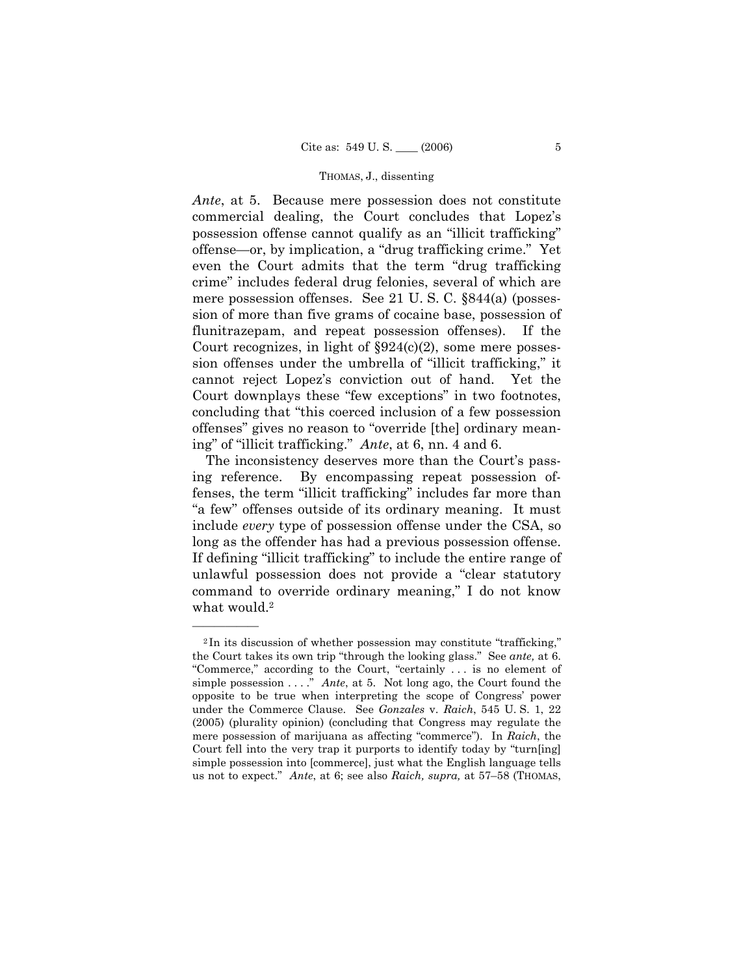*Ante*, at 5. Because mere possession does not constitute commercial dealing, the Court concludes that Lopezís possession offense cannot qualify as an "illicit trafficking" offense—or, by implication, a "drug trafficking crime." Yet even the Court admits that the term "drug trafficking" crimeî includes federal drug felonies, several of which are mere possession offenses. See 21 U. S. C. ß844(a) (possession of more than five grams of cocaine base, possession of flunitrazepam, and repeat possession offenses). If the Court recognizes, in light of  $\S 924(c)(2)$ , some mere possession offenses under the umbrella of "illicit trafficking," it cannot reject Lopezís conviction out of hand. Yet the Court downplays these "few exceptions" in two footnotes, concluding that "this coerced inclusion of a few possession offenses" gives no reason to "override [the] ordinary meaning" of "illicit trafficking." *Ante*, at 6, nn. 4 and 6.

The inconsistency deserves more than the Court's passing reference. By encompassing repeat possession offenses, the term "illicit trafficking" includes far more than ìa fewî offenses outside of its ordinary meaning. It must include *every* type of possession offense under the CSA, so long as the offender has had a previous possession offense. If defining "illicit trafficking" to include the entire range of unlawful possession does not provide a "clear statutory command to override ordinary meaning," I do not know what would.<sup>2</sup>

 $2$ In its discussion of whether possession may constitute "trafficking," the Court takes its own trip "through the looking glass." See *ante*, at 6. "Commerce," according to the Court, "certainly ... is no element of simple possession . . . .î *Ante*, at 5. Not long ago, the Court found the opposite to be true when interpreting the scope of Congressí power under the Commerce Clause. See *Gonzales* v. *Raich*, 545 U. S. 1, 22 (2005) (plurality opinion) (concluding that Congress may regulate the mere possession of marijuana as affecting "commerce"). In *Raich*, the Court fell into the very trap it purports to identify today by "turn[ing] simple possession into [commerce], just what the English language tells us not to expect.<sup>"</sup> Ante, at 6; see also *Raich, supra*, at 57–58 (THOMAS,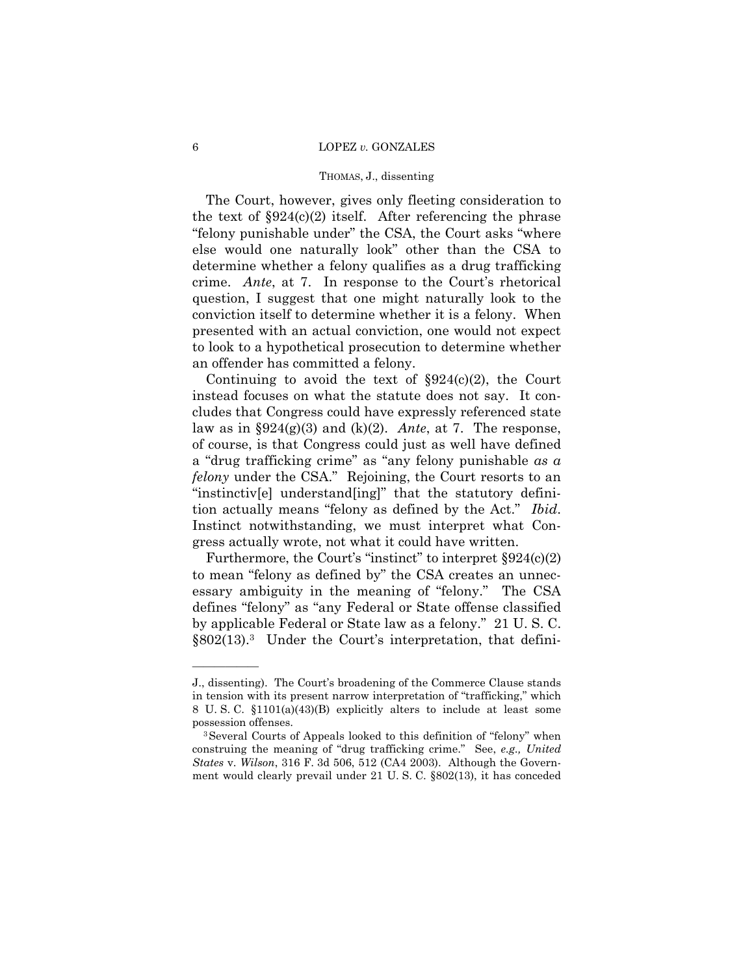#### 6 LOPEZ *v.* GONZALES

#### THOMAS, J., dissenting

 The Court, however, gives only fleeting consideration to the text of  $\S 924(c)(2)$  itself. After referencing the phrase "felony punishable under" the CSA, the Court asks "where" else would one naturally look" other than the CSA to determine whether a felony qualifies as a drug trafficking crime. *Ante*, at 7. In response to the Court's rhetorical question, I suggest that one might naturally look to the conviction itself to determine whether it is a felony. When presented with an actual conviction, one would not expect to look to a hypothetical prosecution to determine whether an offender has committed a felony.

Continuing to avoid the text of  $\S 924(c)(2)$ , the Court instead focuses on what the statute does not say. It concludes that Congress could have expressly referenced state law as in  $\S 924(g)(3)$  and  $(k)(2)$ . *Ante*, at 7. The response, of course, is that Congress could just as well have defined a "drug trafficking crime" as "any felony punishable *as a felony* under the CSA." Rejoining, the Court resorts to an "instinctiv[e] understand[ing]" that the statutory definition actually means "felony as defined by the Act." *Ibid.* Instinct notwithstanding, we must interpret what Congress actually wrote, not what it could have written.

Furthermore, the Court's "instinct" to interpret  $\S 924(c)(2)$ to mean "felony as defined by" the CSA creates an unnecessary ambiguity in the meaning of "felony." The CSA defines "felony" as "any Federal or State offense classified by applicable Federal or State law as a felony." 21 U.S.C.  $§802(13).$ <sup>3</sup> Under the Court's interpretation, that defini-

J., dissenting). The Court's broadening of the Commerce Clause stands in tension with its present narrow interpretation of "trafficking," which 8 U. S. C. ß1101(a)(43)(B) explicitly alters to include at least some

possession offenses.<br><sup>3</sup>Several Courts of Appeals looked to this definition of "felony" when construing the meaning of "drug trafficking crime." See, *e.g., United States* v. *Wilson*, 316 F. 3d 506, 512 (CA4 2003). Although the Government would clearly prevail under 21 U. S. C. ß802(13), it has conceded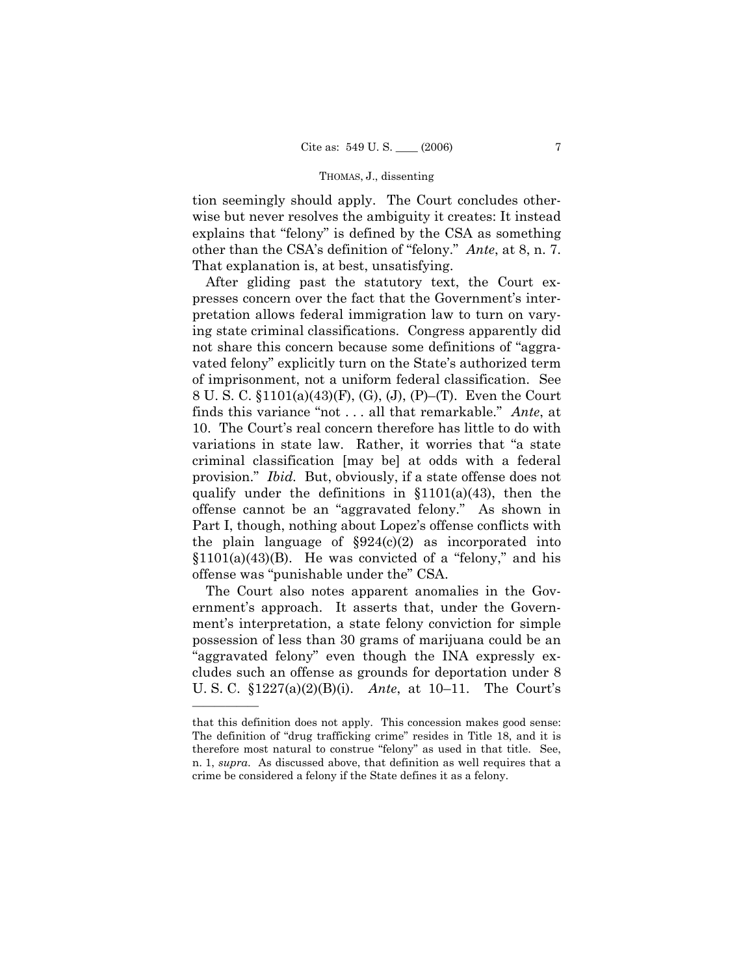tion seemingly should apply. The Court concludes otherwise but never resolves the ambiguity it creates: It instead explains that "felony" is defined by the CSA as something other than the CSA's definition of "felony." *Ante*, at 8, n. 7. That explanation is, at best, unsatisfying.

 After gliding past the statutory text, the Court expresses concern over the fact that the Government's interpretation allows federal immigration law to turn on varying state criminal classifications. Congress apparently did not share this concern because some definitions of "aggravated felony" explicitly turn on the State's authorized term of imprisonment, not a uniform federal classification. See 8 U. S. C.  $$1101(a)(43)(F), (G), (J), (P)$ –(T). Even the Court finds this variance "not . . . all that remarkable." *Ante*, at 10. The Court's real concern therefore has little to do with variations in state law. Rather, it worries that "a state criminal classification [may be] at odds with a federal provision." *Ibid.* But, obviously, if a state offense does not qualify under the definitions in  $$1101(a)(43)$ , then the offense cannot be an "aggravated felony." As shown in Part I, though, nothing about Lopez's offense conflicts with the plain language of  $\S 924(c)(2)$  as incorporated into  $$1101(a)(43)(B)$ . He was convicted of a "felony," and his offense was "punishable under the" CSA.

 The Court also notes apparent anomalies in the Government's approach. It asserts that, under the Government's interpretation, a state felony conviction for simple possession of less than 30 grams of marijuana could be an "aggravated felony" even though the INA expressly excludes such an offense as grounds for deportation under 8 U. S. C.  $$1227(a)(2)(B)(i)$ . *Ante*, at 10–11. The Court's

that this definition does not apply. This concession makes good sense: The definition of "drug trafficking crime" resides in Title 18, and it is therefore most natural to construe "felony" as used in that title. See, n. 1, *supra*. As discussed above, that definition as well requires that a crime be considered a felony if the State defines it as a felony.